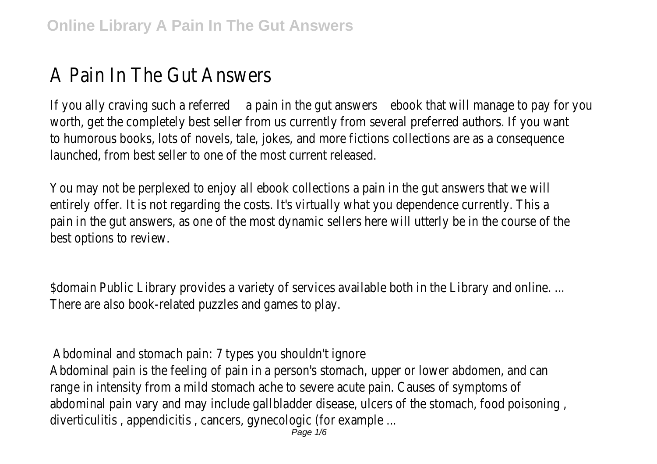## A Pain In The Gut Answers

If you ally craving such a referred a pain in the gut answers ebook that will manage to pay for you worth, get the completely best seller from us currently from several preferred authors. If you want to humorous books, lots of novels, tale, jokes, and more fictions collections are as a consequence launched, from best seller to one of the most current released.

You may not be perplexed to enjoy all ebook collections a pain in the gut answers that we will entirely offer. It is not regarding the costs. It's virtually what you dependence currently. This a pain in the gut answers, as one of the most dynamic sellers here will utterly be in the course of the best options to review.

\$domain Public Library provides a variety of services available both in the Library and online. ... There are also book-related puzzles and games to play.

Abdominal and stomach pain: 7 types you shouldn't ignore

Abdominal pain is the feeling of pain in a person's stomach, upper or lower abdomen, and can range in intensity from a mild stomach ache to severe acute pain. Causes of symptoms of abdominal pain vary and may include gallbladder disease, ulcers of the stomach, food poisoning , diverticulitis , appendicitis , cancers, gynecologic (for example ...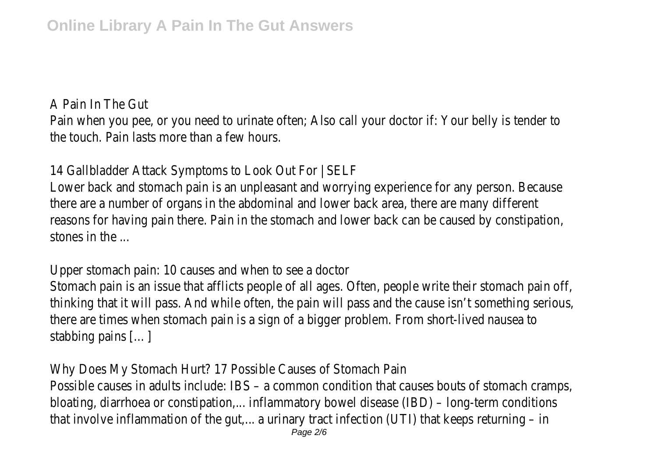A Pain In The Gut

Pain when you pee, or you need to urinate often; Also call your doctor if: Your belly is tender to the touch. Pain lasts more than a few hours.

14 Gallbladder Attack Symptoms to Look Out For | SELF

Lower back and stomach pain is an unpleasant and worrying experience for any person. Because there are a number of organs in the abdominal and lower back area, there are many different reasons for having pain there. Pain in the stomach and lower back can be caused by constipation, stones in the ...

Upper stomach pain: 10 causes and when to see a doctor

Stomach pain is an issue that afflicts people of all ages. Often, people write their stomach pain off, thinking that it will pass. And while often, the pain will pass and the cause isn't something serious, there are times when stomach pain is a sign of a bigger problem. From short-lived nausea to stabbing pains […]

Why Does My Stomach Hurt? 17 Possible Causes of Stomach Pain Possible causes in adults include: IBS – a common condition that causes bouts of stomach cramps, bloating, diarrhoea or constipation,... inflammatory bowel disease (IBD) – long-term conditions that involve inflammation of the gut,... a urinary tract infection (UTI) that keeps returning - in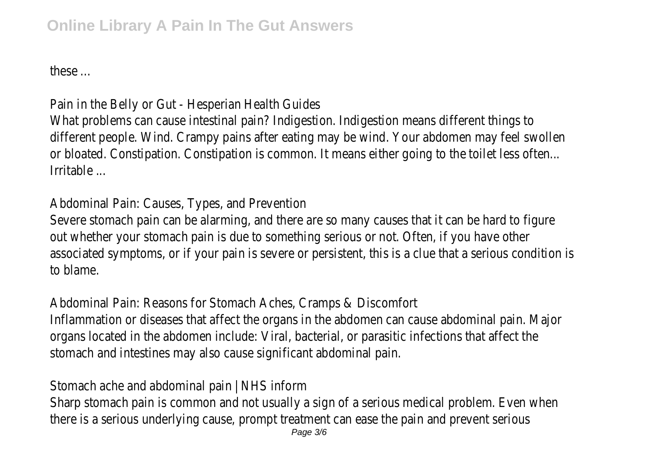these ...

Pain in the Belly or Gut - Hesperian Health Guides What problems can cause intestinal pain? Indigestion. Indigestion means different things to different people. Wind. Crampy pains after eating may be wind. Your abdomen may feel swollen or bloated. Constipation. Constipation is common. It means either going to the toilet less often... Irritable ...

Abdominal Pain: Causes, Types, and Prevention

Severe stomach pain can be alarming, and there are so many causes that it can be hard to figure out whether your stomach pain is due to something serious or not. Often, if you have other associated symptoms, or if your pain is severe or persistent, this is a clue that a serious condition is to blame.

Abdominal Pain: Reasons for Stomach Aches, Cramps & Discomfort

Inflammation or diseases that affect the organs in the abdomen can cause abdominal pain. Major organs located in the abdomen include: Viral, bacterial, or parasitic infections that affect the stomach and intestines may also cause significant abdominal pain.

Stomach ache and abdominal pain | NHS inform

Sharp stomach pain is common and not usually a sign of a serious medical problem. Even when there is a serious underlying cause, prompt treatment can ease the pain and prevent serious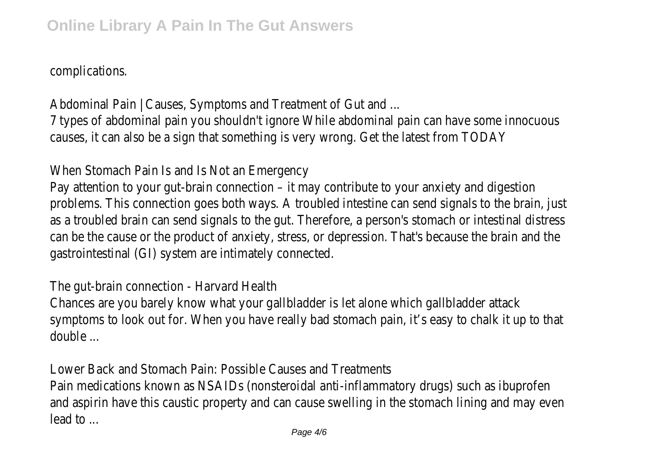complications.

Abdominal Pain | Causes, Symptoms and Treatment of Gut and ... 7 types of abdominal pain you shouldn't ignore While abdominal pain can have some innocuous causes, it can also be a sign that something is very wrong. Get the latest from TODAY

When Stomach Pain Is and Is Not an Emergency

Pay attention to your gut-brain connection – it may contribute to your anxiety and digestion problems. This connection goes both ways. A troubled intestine can send signals to the brain, just as a troubled brain can send signals to the gut. Therefore, a person's stomach or intestinal distress can be the cause or the product of anxiety, stress, or depression. That's because the brain and the gastrointestinal (GI) system are intimately connected.

The gut-brain connection - Harvard Health

Chances are you barely know what your gallbladder is let alone which gallbladder attack symptoms to look out for. When you have really bad stomach pain, it's easy to chalk it up to that double ...

Lower Back and Stomach Pain: Possible Causes and Treatments

Pain medications known as NSAIDs (nonsteroidal anti-inflammatory drugs) such as ibuprofen and aspirin have this caustic property and can cause swelling in the stomach lining and may even lead to ...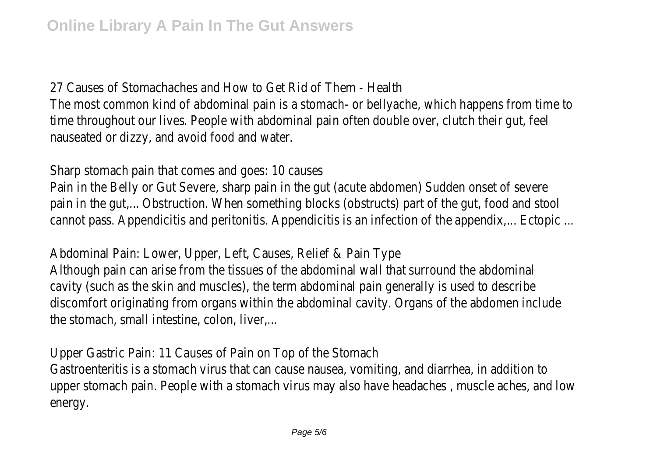27 Causes of Stomachaches and How to Get Rid of Them - Health The most common kind of abdominal pain is a stomach- or bellyache, which happens from time to time throughout our lives. People with abdominal pain often double over, clutch their gut, feel nauseated or dizzy, and avoid food and water.

Sharp stomach pain that comes and goes: 10 causes

Pain in the Belly or Gut Severe, sharp pain in the gut (acute abdomen) Sudden onset of severe pain in the gut,... Obstruction. When something blocks (obstructs) part of the gut, food and stool cannot pass. Appendicitis and peritonitis. Appendicitis is an infection of the appendix,... Ectopic ...

Abdominal Pain: Lower, Upper, Left, Causes, Relief & Pain Type

Although pain can arise from the tissues of the abdominal wall that surround the abdominal cavity (such as the skin and muscles), the term abdominal pain generally is used to describe discomfort originating from organs within the abdominal cavity. Organs of the abdomen include the stomach, small intestine, colon, liver,...

Upper Gastric Pain: 11 Causes of Pain on Top of the Stomach

Gastroenteritis is a stomach virus that can cause nausea, vomiting, and diarrhea, in addition to upper stomach pain. People with a stomach virus may also have headaches , muscle aches, and low energy.